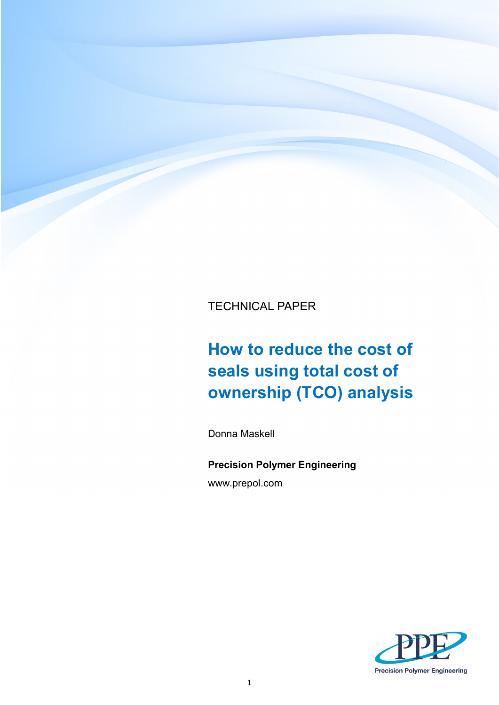TECHNICAL PAPER

# **How to reduce the cost of seals using total cost of ownership (TCO) analysis**

Donna Maskell

**Precision Polymer Engineering** www.prepol.com

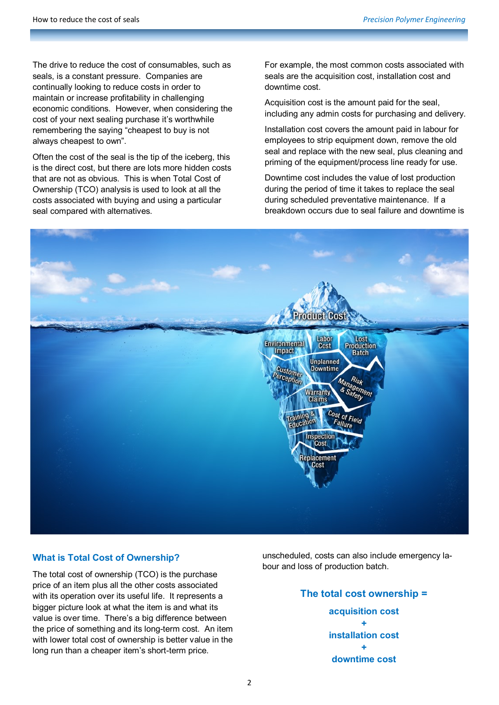The drive to reduce the cost of consumables, such as seals, is a constant pressure. Companies are continually looking to reduce costs in order to maintain or increase profitability in challenging economic conditions. However, when considering the cost of your next sealing purchase it's worthwhile remembering the saying "cheapest to buy is not always cheapest to own".

Often the cost of the seal is the tip of the iceberg, this is the direct cost, but there are lots more hidden costs that are not as obvious. This is when Total Cost of Ownership (TCO) analysis is used to look at all the costs associated with buying and using a particular seal compared with alternatives.

For example, the most common costs associated with seals are the acquisition cost, installation cost and downtime cost.

Acquisition cost is the amount paid for the seal, including any admin costs for purchasing and delivery.

Installation cost covers the amount paid in labour for employees to strip equipment down, remove the old seal and replace with the new seal, plus cleaning and priming of the equipment/process line ready for use.

Downtime cost includes the value of lost production during the period of time it takes to replace the seal during scheduled preventative maintenance. If a breakdown occurs due to seal failure and downtime is



## **What is Total Cost of Ownership?**

The total cost of ownership (TCO) is the purchase price of an item plus all the other costs associated with its operation over its useful life. It represents a bigger picture look at what the item is and what its value is over time. There's a big difference between the price of something and its long-term cost. An item with lower total cost of ownership is better value in the long run than a cheaper item's short-term price.

unscheduled, costs can also include emergency labour and loss of production batch.

> **The total cost ownership = acquisition cost + installation cost + downtime cost**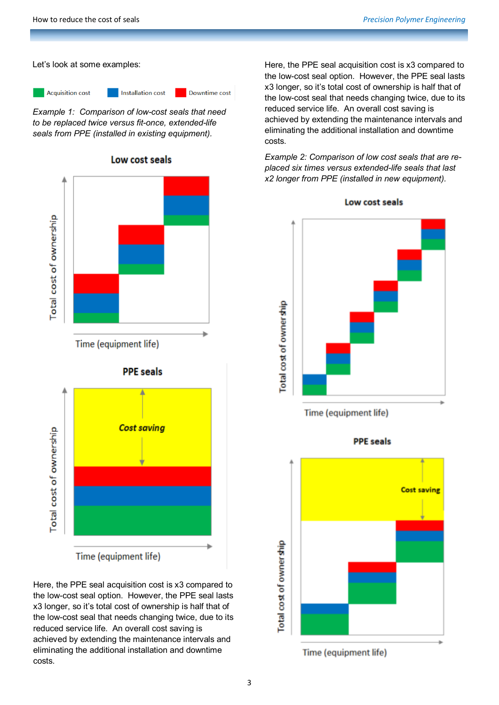Let's look at some examples:

**Acquisition cost** 

Downtime cost

*Example 1: Comparison of low-cost seals that need to be replaced twice versus fit-once, extended-life seals from PPE (installed in existing equipment).*

**Installation cost** 

Low cost seals



Time (equipment life)

Here, the PPE seal acquisition cost is x3 compared to the low-cost seal option. However, the PPE seal lasts x3 longer, so it's total cost of ownership is half that of the low-cost seal that needs changing twice, due to its reduced service life. An overall cost saving is achieved by extending the maintenance intervals and eliminating the additional installation and downtime costs.

Here, the PPE seal acquisition cost is x3 compared to the low-cost seal option. However, the PPE seal lasts x3 longer, so it's total cost of ownership is half that of the low-cost seal that needs changing twice, due to its reduced service life. An overall cost saving is achieved by extending the maintenance intervals and eliminating the additional installation and downtime costs.

*Example 2: Comparison of low cost seals that are replaced six times versus extended-life seals that last x2 longer from PPE (installed in new equipment).*



Low cost seals

Time (equipment life)

**PPE** seals



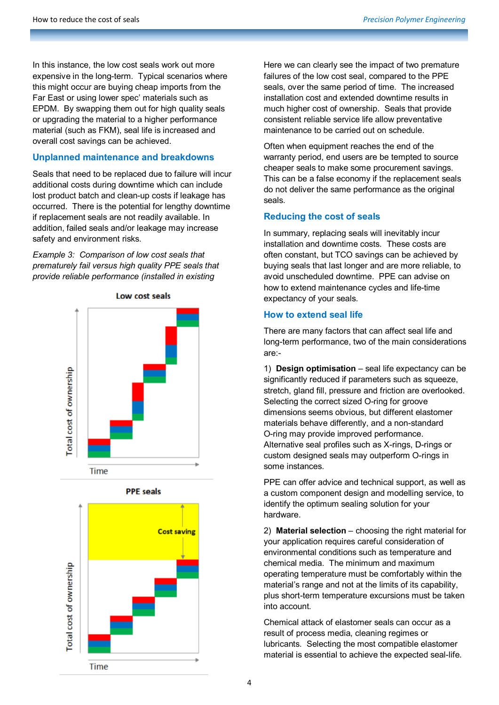In this instance, the low cost seals work out more expensive in the long-term. Typical scenarios where this might occur are buying cheap imports from the Far East or using lower spec' materials such as EPDM. By swapping them out for high quality seals or upgrading the material to a higher performance material (such as FKM), seal life is increased and overall cost savings can be achieved.

## **Unplanned maintenance and breakdowns**

Seals that need to be replaced due to failure will incur additional costs during downtime which can include lost product batch and clean-up costs if leakage has occurred. There is the potential for lengthy downtime if replacement seals are not readily available. In addition, failed seals and/or leakage may increase safety and environment risks.

*Example 3: Comparison of low cost seals that prematurely fail versus high quality PPE seals that provide reliable performance (installed in existing* 









Here we can clearly see the impact of two premature failures of the low cost seal, compared to the PPE seals, over the same period of time. The increased installation cost and extended downtime results in much higher cost of ownership. Seals that provide consistent reliable service life allow preventative maintenance to be carried out on schedule.

Often when equipment reaches the end of the warranty period, end users are be tempted to source cheaper seals to make some procurement savings. This can be a false economy if the replacement seals do not deliver the same performance as the original seals.

# **Reducing the cost of seals**

In summary, replacing seals will inevitably incur installation and downtime costs. These costs are often constant, but TCO savings can be achieved by buying seals that last longer and are more reliable, to avoid unscheduled downtime. PPE can advise on how to extend maintenance cycles and life-time expectancy of your seals.

## **How to extend seal life**

There are many factors that can affect seal life and long-term performance, two of the main considerations are:-

1) **Design optimisation** – seal life expectancy can be significantly reduced if parameters such as squeeze, stretch, gland fill, pressure and friction are overlooked. Selecting the correct sized O-ring for groove dimensions seems obvious, but different elastomer materials behave differently, and a non-standard O-ring may provide improved performance. Alternative seal profiles such as X-rings, D-rings or custom designed seals may outperform O-rings in some instances.

PPE can offer advice and technical support, as well as a custom component design and modelling service, to identify the optimum sealing solution for your hardware.

2) **Material selection** – choosing the right material for your application requires careful consideration of environmental conditions such as temperature and chemical media. The minimum and maximum operating temperature must be comfortably within the material's range and not at the limits of its capability, plus short-term temperature excursions must be taken into account.

Chemical attack of elastomer seals can occur as a result of process media, cleaning regimes or lubricants. Selecting the most compatible elastomer material is essential to achieve the expected seal-life.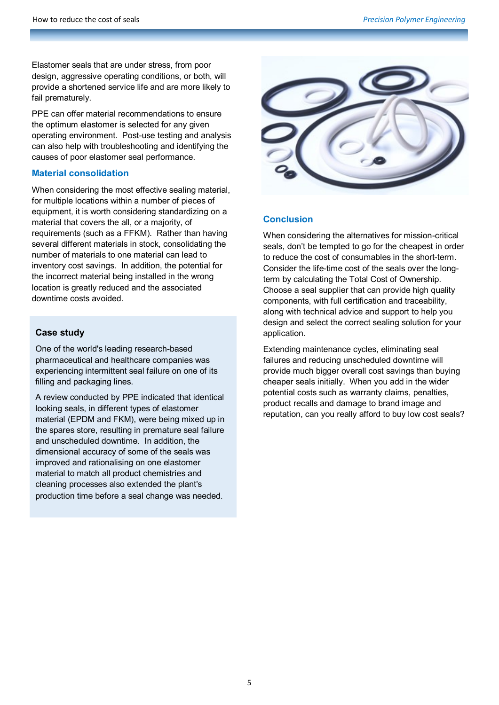Elastomer seals that are under stress, from poor design, aggressive operating conditions, or both, will provide a shortened service life and are more likely to fail prematurely.

PPE can offer material recommendations to ensure the optimum elastomer is selected for any given operating environment. Post-use testing and analysis can also help with troubleshooting and identifying the causes of poor elastomer seal performance.

## **Material consolidation**

When considering the most effective sealing material, for multiple locations within a number of pieces of equipment, it is worth considering standardizing on a material that covers the all, or a majority, of requirements (such as a FFKM). Rather than having several different materials in stock, consolidating the number of materials to one material can lead to inventory cost savings. In addition, the potential for the incorrect material being installed in the wrong location is greatly reduced and the associated downtime costs avoided.

#### **Case study**

One of the world's leading research-based pharmaceutical and healthcare companies was experiencing intermittent seal failure on one of its filling and packaging lines.

A review conducted by PPE indicated that identical looking seals, in different types of elastomer material (EPDM and FKM), were being mixed up in the spares store, resulting in premature seal failure and unscheduled downtime. In addition, the dimensional accuracy of some of the seals was improved and rationalising on one elastomer material to match all product chemistries and cleaning processes also extended the plant's production time before a seal change was needed.



## **Conclusion**

When considering the alternatives for mission-critical seals, don't be tempted to go for the cheapest in order to reduce the cost of consumables in the short-term. Consider the life-time cost of the seals over the longterm by calculating the Total Cost of Ownership. Choose a seal supplier that can provide high quality components, with full certification and traceability, along with technical advice and support to help you design and select the correct sealing solution for your application.

Extending maintenance cycles, eliminating seal failures and reducing unscheduled downtime will provide much bigger overall cost savings than buying cheaper seals initially. When you add in the wider potential costs such as warranty claims, penalties, product recalls and damage to brand image and reputation, can you really afford to buy low cost seals?